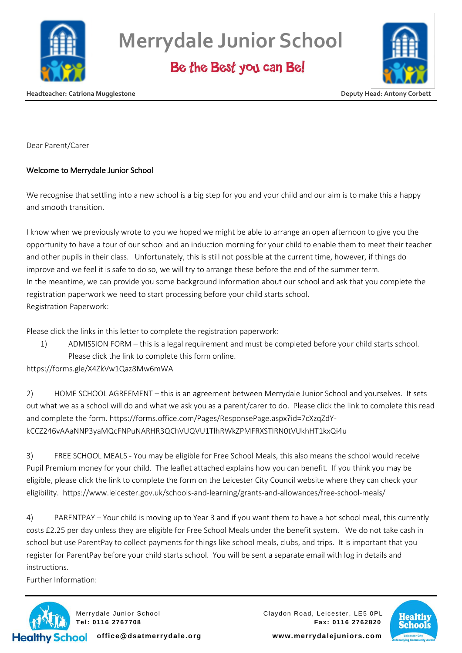

**Merrydale Junior School**

Be the Best you can Be!



**Headteacher: Catriona Mugglestone Deputy Head: Antony Corbett**

Dear Parent/Carer

## Welcome to Merrydale Junior School

We recognise that settling into a new school is a big step for you and your child and our aim is to make this a happy and smooth transition.

I know when we previously wrote to you we hoped we might be able to arrange an open afternoon to give you the opportunity to have a tour of our school and an induction morning for your child to enable them to meet their teacher and other pupils in their class. Unfortunately, this is still not possible at the current time, however, if things do improve and we feel it is safe to do so, we will try to arrange these before the end of the summer term. In the meantime, we can provide you some background information about our school and ask that you complete the registration paperwork we need to start processing before your child starts school. Registration Paperwork:

Please click the links in this letter to complete the registration paperwork:

1) ADMISSION FORM – this is a legal requirement and must be completed before your child starts school. Please click the link to complete this form online.

https://forms.gle/X4ZkVw1Qaz8Mw6mWA

2) HOME SCHOOL AGREEMENT – this is an agreement between Merrydale Junior School and yourselves. It sets out what we as a school will do and what we ask you as a parent/carer to do. Please click the link to complete this read and complete the form. https://forms.office.com/Pages/ResponsePage.aspx?id=7cXzqZdYkCCZ246vAAaNNP3yaMQcFNPuNARHR3QChVUQVU1TlhRWkZPMFRXSTlRN0tVUkhHT1kxQi4u

3) FREE SCHOOL MEALS - You may be eligible for Free School Meals, this also means the school would receive Pupil Premium money for your child. The leaflet attached explains how you can benefit. If you think you may be eligible, please click the link to complete the form on the Leicester City Council website where they can check your eligibility. https://www.leicester.gov.uk/schools-and-learning/grants-and-allowances/free-school-meals/

4) PARENTPAY – Your child is moving up to Year 3 and if you want them to have a hot school meal, this currently costs £2.25 per day unless they are eligible for Free School Meals under the benefit system. We do not take cash in school but use ParentPay to collect payments for things like school meals, clubs, and trips. It is important that you register for ParentPay before your child starts school. You will be sent a separate email with log in details and instructions.

Further Information:



Merrydale Junior School Claydon Road, Leicester, LE5 0PL **Tel: 0116 2767708 Fax: 0116 2762820**



**office@dsatmerrydale.org www.merrydalejuniors.com**